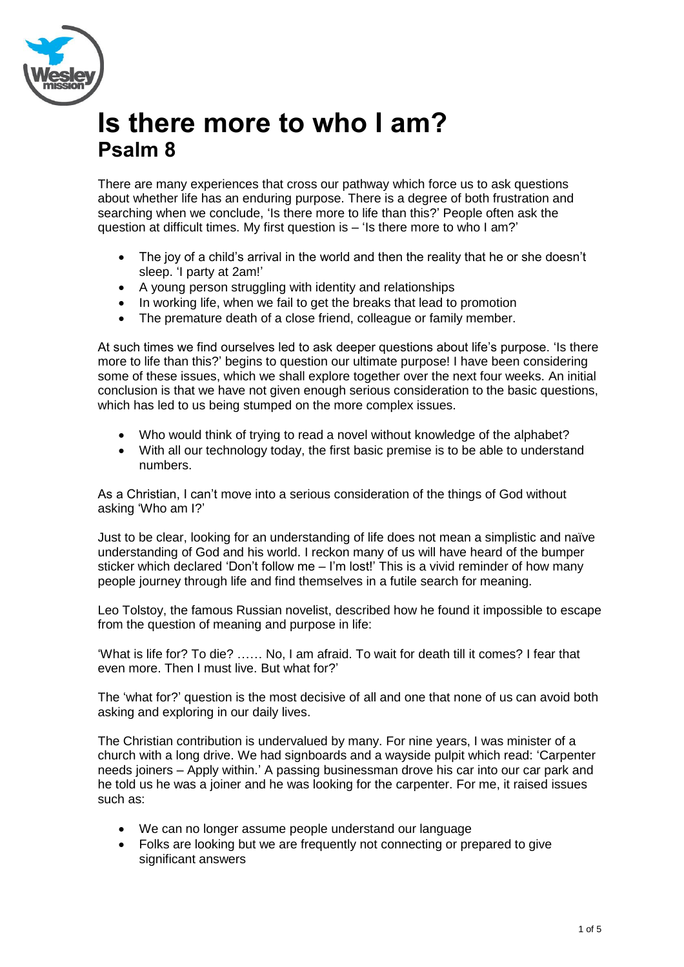

## **Is there more to who I am? Psalm 8**

There are many experiences that cross our pathway which force us to ask questions about whether life has an enduring purpose. There is a degree of both frustration and searching when we conclude, 'Is there more to life than this?' People often ask the question at difficult times. My first question is – 'Is there more to who I am?'

- The joy of a child's arrival in the world and then the reality that he or she doesn't sleep. 'I party at 2am!'
- A young person struggling with identity and relationships
- In working life, when we fail to get the breaks that lead to promotion
- The premature death of a close friend, colleague or family member.

At such times we find ourselves led to ask deeper questions about life's purpose. 'Is there more to life than this?' begins to question our ultimate purpose! I have been considering some of these issues, which we shall explore together over the next four weeks. An initial conclusion is that we have not given enough serious consideration to the basic questions, which has led to us being stumped on the more complex issues.

- Who would think of trying to read a novel without knowledge of the alphabet?
- With all our technology today, the first basic premise is to be able to understand numbers.

As a Christian, I can't move into a serious consideration of the things of God without asking 'Who am I?'

Just to be clear, looking for an understanding of life does not mean a simplistic and naïve understanding of God and his world. I reckon many of us will have heard of the bumper sticker which declared 'Don't follow me – I'm lost!' This is a vivid reminder of how many people journey through life and find themselves in a futile search for meaning.

Leo Tolstoy, the famous Russian novelist, described how he found it impossible to escape from the question of meaning and purpose in life:

'What is life for? To die? …… No, I am afraid. To wait for death till it comes? I fear that even more. Then I must live. But what for?'

The 'what for?' question is the most decisive of all and one that none of us can avoid both asking and exploring in our daily lives.

The Christian contribution is undervalued by many. For nine years, I was minister of a church with a long drive. We had signboards and a wayside pulpit which read: 'Carpenter needs joiners – Apply within.' A passing businessman drove his car into our car park and he told us he was a joiner and he was looking for the carpenter. For me, it raised issues such as:

- We can no longer assume people understand our language
- Folks are looking but we are frequently not connecting or prepared to give significant answers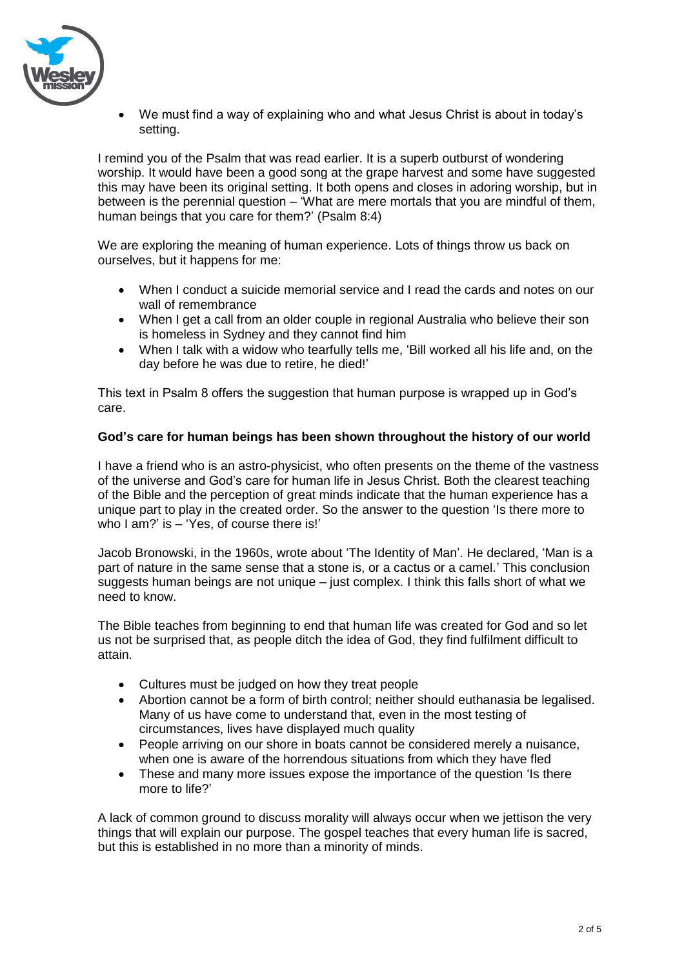

 We must find a way of explaining who and what Jesus Christ is about in today's setting.

I remind you of the Psalm that was read earlier. It is a superb outburst of wondering worship. It would have been a good song at the grape harvest and some have suggested this may have been its original setting. It both opens and closes in adoring worship, but in between is the perennial question – 'What are mere mortals that you are mindful of them, human beings that you care for them?' (Psalm 8:4)

We are exploring the meaning of human experience. Lots of things throw us back on ourselves, but it happens for me:

- When I conduct a suicide memorial service and I read the cards and notes on our wall of remembrance
- When I get a call from an older couple in regional Australia who believe their son is homeless in Sydney and they cannot find him
- When I talk with a widow who tearfully tells me, 'Bill worked all his life and, on the day before he was due to retire, he died!'

This text in Psalm 8 offers the suggestion that human purpose is wrapped up in God's care.

## **God's care for human beings has been shown throughout the history of our world**

I have a friend who is an astro-physicist, who often presents on the theme of the vastness of the universe and God's care for human life in Jesus Christ. Both the clearest teaching of the Bible and the perception of great minds indicate that the human experience has a unique part to play in the created order. So the answer to the question 'Is there more to who I am?' is – 'Yes, of course there is!'

Jacob Bronowski, in the 1960s, wrote about 'The Identity of Man'. He declared, 'Man is a part of nature in the same sense that a stone is, or a cactus or a camel.' This conclusion suggests human beings are not unique – just complex. I think this falls short of what we need to know.

The Bible teaches from beginning to end that human life was created for God and so let us not be surprised that, as people ditch the idea of God, they find fulfilment difficult to attain.

- Cultures must be judged on how they treat people
- Abortion cannot be a form of birth control; neither should euthanasia be legalised. Many of us have come to understand that, even in the most testing of circumstances, lives have displayed much quality
- People arriving on our shore in boats cannot be considered merely a nuisance, when one is aware of the horrendous situations from which they have fled
- These and many more issues expose the importance of the question 'Is there more to life?'

A lack of common ground to discuss morality will always occur when we jettison the very things that will explain our purpose. The gospel teaches that every human life is sacred, but this is established in no more than a minority of minds.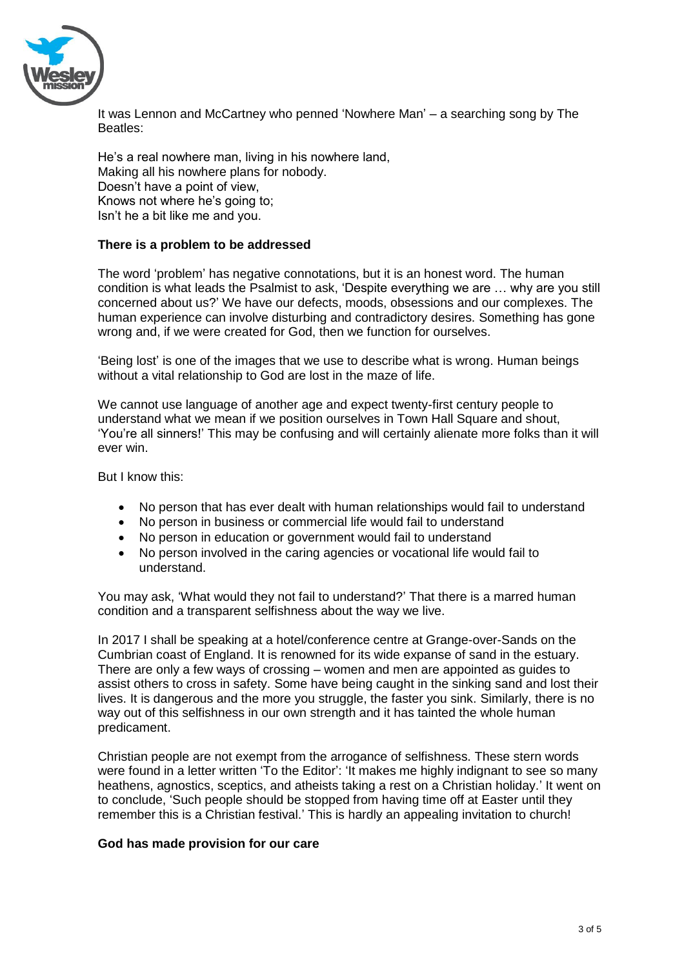

It was Lennon and McCartney who penned 'Nowhere Man' – a searching song by The Beatles:

He's a real nowhere man, living in his nowhere land, Making all his nowhere plans for nobody. Doesn't have a point of view, Knows not where he's going to; Isn't he a bit like me and you.

## **There is a problem to be addressed**

The word 'problem' has negative connotations, but it is an honest word. The human condition is what leads the Psalmist to ask, 'Despite everything we are … why are you still concerned about us?' We have our defects, moods, obsessions and our complexes. The human experience can involve disturbing and contradictory desires. Something has gone wrong and, if we were created for God, then we function for ourselves.

'Being lost' is one of the images that we use to describe what is wrong. Human beings without a vital relationship to God are lost in the maze of life.

We cannot use language of another age and expect twenty-first century people to understand what we mean if we position ourselves in Town Hall Square and shout, 'You're all sinners!' This may be confusing and will certainly alienate more folks than it will ever win.

But I know this:

- No person that has ever dealt with human relationships would fail to understand
- No person in business or commercial life would fail to understand
- No person in education or government would fail to understand
- No person involved in the caring agencies or vocational life would fail to understand.

You may ask, 'What would they not fail to understand?' That there is a marred human condition and a transparent selfishness about the way we live.

In 2017 I shall be speaking at a hotel/conference centre at Grange-over-Sands on the Cumbrian coast of England. It is renowned for its wide expanse of sand in the estuary. There are only a few ways of crossing – women and men are appointed as guides to assist others to cross in safety. Some have being caught in the sinking sand and lost their lives. It is dangerous and the more you struggle, the faster you sink. Similarly, there is no way out of this selfishness in our own strength and it has tainted the whole human predicament.

Christian people are not exempt from the arrogance of selfishness. These stern words were found in a letter written 'To the Editor': 'It makes me highly indignant to see so many heathens, agnostics, sceptics, and atheists taking a rest on a Christian holiday.' It went on to conclude, 'Such people should be stopped from having time off at Easter until they remember this is a Christian festival.' This is hardly an appealing invitation to church!

## **God has made provision for our care**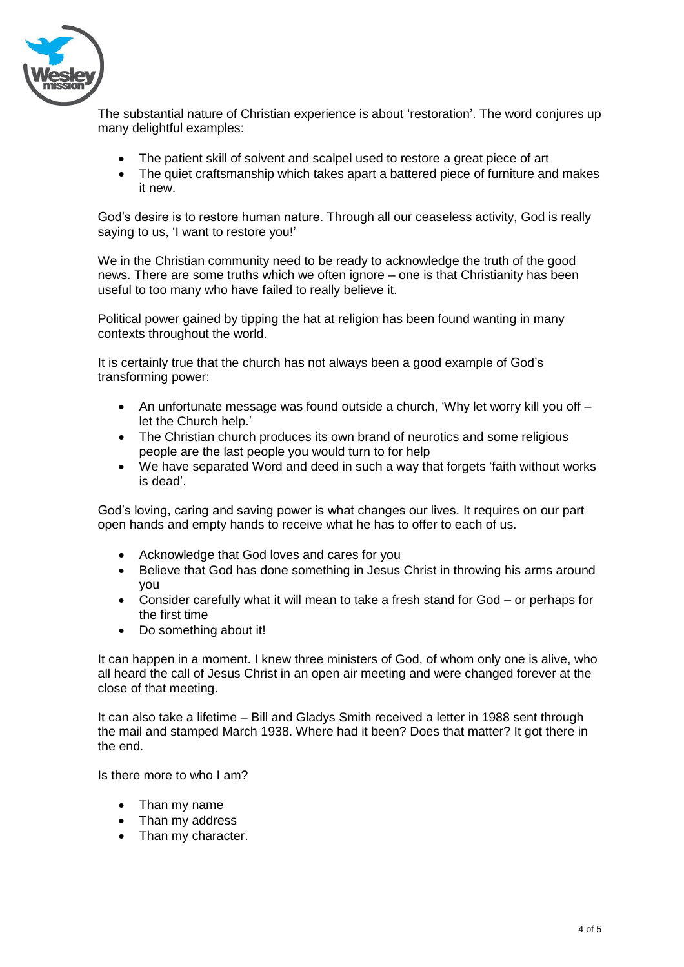

The substantial nature of Christian experience is about 'restoration'. The word conjures up many delightful examples:

- The patient skill of solvent and scalpel used to restore a great piece of art
- The quiet craftsmanship which takes apart a battered piece of furniture and makes it new.

God's desire is to restore human nature. Through all our ceaseless activity, God is really saying to us, 'I want to restore you!'

We in the Christian community need to be ready to acknowledge the truth of the good news. There are some truths which we often ignore – one is that Christianity has been useful to too many who have failed to really believe it.

Political power gained by tipping the hat at religion has been found wanting in many contexts throughout the world.

It is certainly true that the church has not always been a good example of God's transforming power:

- An unfortunate message was found outside a church, 'Why let worry kill you off let the Church help.'
- The Christian church produces its own brand of neurotics and some religious people are the last people you would turn to for help
- We have separated Word and deed in such a way that forgets 'faith without works is dead'.

God's loving, caring and saving power is what changes our lives. It requires on our part open hands and empty hands to receive what he has to offer to each of us.

- Acknowledge that God loves and cares for you
- Believe that God has done something in Jesus Christ in throwing his arms around you
- Consider carefully what it will mean to take a fresh stand for God or perhaps for the first time
- Do something about it!

It can happen in a moment. I knew three ministers of God, of whom only one is alive, who all heard the call of Jesus Christ in an open air meeting and were changed forever at the close of that meeting.

It can also take a lifetime – Bill and Gladys Smith received a letter in 1988 sent through the mail and stamped March 1938. Where had it been? Does that matter? It got there in the end.

Is there more to who I am?

- Than my name
- Than my address
- Than my character.